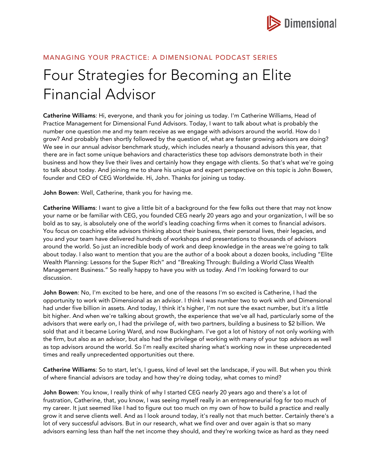

## MANAGING YOUR PRACTICE: A DIMENSIONAL PODCAST SERIES

## Four Strategies for Becoming an Elite Financial Advisor

Catherine Williams: Hi, everyone, and thank you for joining us today. I'm Catherine Williams, Head of Practice Management for Dimensional Fund Advisors. Today, I want to talk about what is probably the number one question me and my team receive as we engage with advisors around the world. How do I grow? And probably then shortly followed by the question of, what are faster growing advisors are doing? We see in our annual advisor benchmark study, which includes nearly a thousand advisors this year, that there are in fact some unique behaviors and characteristics these top advisors demonstrate both in their business and how they live their lives and certainly how they engage with clients. So that's what we're going to talk about today. And joining me to share his unique and expert perspective on this topic is John Bowen, founder and CEO of CEG Worldwide. Hi, John. Thanks for joining us today.

John Bowen: Well, Catherine, thank you for having me.

Catherine Williams: I want to give a little bit of a background for the few folks out there that may not know your name or be familiar with CEG, you founded CEG nearly 20 years ago and your organization, I will be so bold as to say, is absolutely one of the world's leading coaching firms when it comes to financial advisors. You focus on coaching elite advisors thinking about their business, their personal lives, their legacies, and you and your team have delivered hundreds of workshops and presentations to thousands of advisors around the world. So just an incredible body of work and deep knowledge in the areas we're going to talk about today. I also want to mention that you are the author of a book about a dozen books, including "Elite Wealth Planning: Lessons for the Super Rich" and "Breaking Through: Building a World Class Wealth Management Business." So really happy to have you with us today. And I'm looking forward to our discussion.

John Bowen: No, I'm excited to be here, and one of the reasons I'm so excited is Catherine, I had the opportunity to work with Dimensional as an advisor. I think I was number two to work with and Dimensional had under five billion in assets. And today, I think it's higher, I'm not sure the exact number, but it's a little bit higher. And when we're talking about growth, the experience that we've all had, particularly some of the advisors that were early on, I had the privilege of, with two partners, building a business to \$2 billion. We sold that and it became Loring Ward, and now Buckingham. I've got a lot of history of not only working with the firm, but also as an advisor, but also had the privilege of working with many of your top advisors as well as top advisors around the world. So I'm really excited sharing what's working now in these unprecedented times and really unprecedented opportunities out there.

Catherine Williams: So to start, let's, I guess, kind of level set the landscape, if you will. But when you think of where financial advisors are today and how they're doing today, what comes to mind?

John Bowen: You know, I really think of why I started CEG nearly 20 years ago and there's a lot of frustration, Catherine, that, you know, I was seeing myself really in an entrepreneurial fog for too much of my career. It just seemed like I had to figure out too much on my own of how to build a practice and really grow it and serve clients well. And as I look around today, it's really not that much better. Certainly there's a lot of very successful advisors. But in our research, what we find over and over again is that so many advisors earning less than half the net income they should, and they're working twice as hard as they need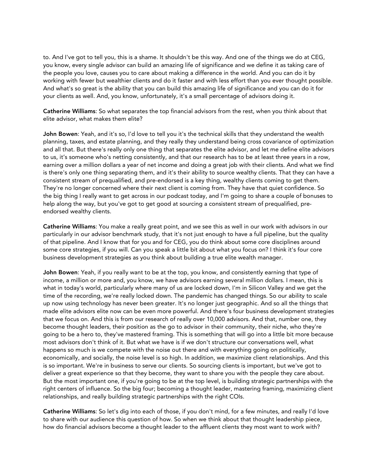to. And I've got to tell you, this is a shame. It shouldn't be this way. And one of the things we do at CEG, you know, every single advisor can build an amazing life of significance and we define it as taking care of the people you love, causes you to care about making a difference in the world. And you can do it by working with fewer but wealthier clients and do it faster and with less effort than you ever thought possible. And what's so great is the ability that you can build this amazing life of significance and you can do it for your clients as well. And, you know, unfortunately, it's a small percentage of advisors doing it.

Catherine Williams: So what separates the top financial advisors from the rest, when you think about that elite advisor, what makes them elite?

John Bowen: Yeah, and it's so, I'd love to tell you it's the technical skills that they understand the wealth planning, taxes, and estate planning, and they really they understand being cross covariance of optimization and all that. But there's really only one thing that separates the elite advisor, and let me define elite advisors to us, it's someone who's netting consistently, and that our research has to be at least three years in a row, earning over a million dollars a year of net income and doing a great job with their clients. And what we find is there's only one thing separating them, and it's their ability to source wealthy clients. That they can have a consistent stream of prequalified, and pre-endorsed is a key thing, wealthy clients coming to get them. They're no longer concerned where their next client is coming from. They have that quiet confidence. So the big thing I really want to get across in our podcast today, and I'm going to share a couple of bonuses to help along the way, but you've got to get good at sourcing a consistent stream of prequalified, preendorsed wealthy clients.

Catherine Williams: You make a really great point, and we see this as well in our work with advisors in our particularly in our advisor benchmark study, that it's not just enough to have a full pipeline, but the quality of that pipeline. And I know that for you and for CEG, you do think about some core disciplines around some core strategies, if you will. Can you speak a little bit about what you focus on? I think it's four core business development strategies as you think about building a true elite wealth manager.

John Bowen: Yeah, if you really want to be at the top, you know, and consistently earning that type of income, a million or more and, you know, we have advisors earning several million dollars. I mean, this is what in today's world, particularly where many of us are locked down, I'm in Silicon Valley and we get the time of the recording, we're really locked down. The pandemic has changed things. So our ability to scale up now using technology has never been greater. It's no longer just geographic. And so all the things that made elite advisors elite now can be even more powerful. And there's four business development strategies that we focus on. And this is from our research of really over 10,000 advisors. And that, number one, they become thought leaders, their position as the go to advisor in their community, their niche, who they're going to be a hero to, they've mastered framing. This is something that will go into a little bit more because most advisors don't think of it. But what we have is if we don't structure our conversations well, what happens so much is we compete with the noise out there and with everything going on politically, economically, and socially, the noise level is so high. In addition, we maximize client relationships. And this is so important. We're in business to serve our clients. So sourcing clients is important, but we've got to deliver a great experience so that they become, they want to share you with the people they care about. But the most important one, if you're going to be at the top level, is building strategic partnerships with the right centers of influence. So the big four; becoming a thought leader, mastering framing, maximizing client relationships, and really building strategic partnerships with the right COIs.

Catherine Williams: So let's dig into each of those, if you don't mind, for a few minutes, and really I'd love to share with our audience this question of how. So when we think about that thought leadership piece, how do financial advisors become a thought leader to the affluent clients they most want to work with?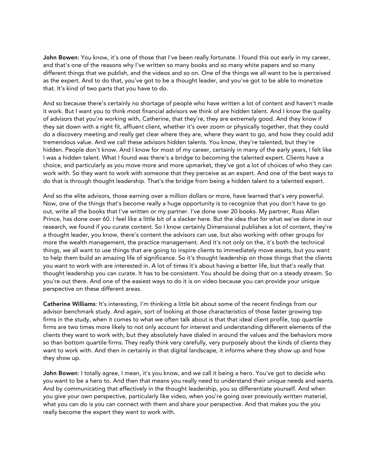John Bowen: You know, it's one of those that I've been really fortunate. I found this out early in my career, and that's one of the reasons why I've written so many books and so many white papers and so many different things that we publish, and the videos and so on. One of the things we all want to be is perceived as the expert. And to do that, you've got to be a thought leader, and you've got to be able to monetize that. It's kind of two parts that you have to do.

And so because there's certainly no shortage of people who have written a lot of content and haven't made it work. But I want you to think most financial advisors we think of are hidden talent. And I know the quality of advisors that you're working with, Catherine, that they're, they are extremely good. And they know if they sat down with a right fit, affluent client, whether it's over zoom or physically together, that they could do a discovery meeting and really get clear where they are, where they want to go, and how they could add tremendous value. And we call these advisors hidden talents. You know, they're talented, but they're hidden. People don't know. And I know for most of my career, certainly in many of the early years, I felt like I was a hidden talent. What I found was there's a bridge to becoming the talented expert. Clients have a choice, and particularly as you move more and more upmarket, they've got a lot of choices of who they can work with. So they want to work with someone that they perceive as an expert. And one of the best ways to do that is through thought leadership. That's the bridge from being a hidden talent to a talented expert.

And so the elite advisors, those earning over a million dollars or more, have learned that's very powerful. Now, one of the things that's become really a huge opportunity is to recognize that you don't have to go out, write all the books that I've written or my partner. I've done over 20 books. My partner, Russ Allan Prince, has done over 60. I feel like a little bit of a slacker here. But the idea that for what we've done in our research, we found if you curate content. So I know certainly Dimensional publishes a lot of content, they're a thought leader, you know, there's content the advisors can use, but also working with other groups for more the wealth management, the practice management. And it's not only on the, it's both the technical things, we all want to use things that are going to inspire clients to immediately move assets, but you want to help them build an amazing life of significance. So it's thought leadership on those things that the clients you want to work with are interested in. A lot of times it's about having a better life, but that's really that thought leadership you can curate. It has to be consistent. You should be doing that on a steady stream. So you're out there. And one of the easiest ways to do it is on video because you can provide your unique perspective on these different areas.

Catherine Williams: It's interesting, I'm thinking a little bit about some of the recent findings from our advisor benchmark study. And again, sort of looking at those characteristics of those faster growing top firms in the study, when it comes to what we often talk about is that that ideal client profile, top quartile firms are two times more likely to not only account for interest and understanding different elements of the clients they want to work with, but they absolutely have dialed in around the values and the behaviors more so than bottom quartile firms. They really think very carefully, very purposely about the kinds of clients they want to work with. And then in certainly in that digital landscape, it informs where they show up and how they show up.

John Bowen: I totally agree, I mean, it's you know, and we call it being a hero. You've got to decide who you want to be a hero to. And then that means you really need to understand their unique needs and wants. And by communicating that effectively in the thought leadership, you so differentiate yourself. And when you give your own perspective, particularly like video, when you're going over previously written material, what you can do is you can connect with them and share your perspective. And that makes you the you really become the expert they want to work with.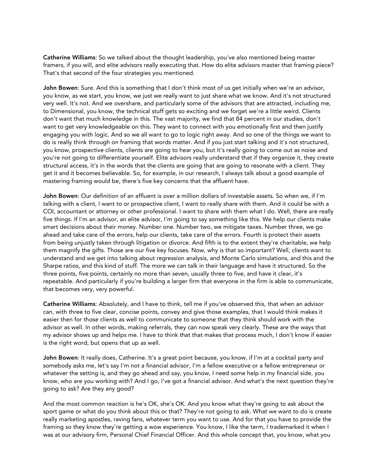Catherine Williams: So we talked about the thought leadership, you've also mentioned being master framers, if you will, and elite advisors really executing that. How do elite advisors master that framing piece? That's that second of the four strategies you mentioned.

John Bowen: Sure. And this is something that I don't think most of us get initially when we're an advisor, you know, as we start, you know, we just we really want to just share what we know. And it's not structured very well. It's not. And we overshare, and particularly some of the advisors that are attracted, including me, to Dimensional, you know, the technical stuff gets so exciting and we forget we're a little weird. Clients don't want that much knowledge in this. The vast majority, we find that 84 percent in our studies, don't want to get very knowledgeable on this. They want to connect with you emotionally first and then justify engaging you with logic. And so we all want to go to logic right away. And so one of the things we want to do is really think through on framing that words matter. And if you just start talking and it's not structured, you know, prospective clients, clients are going to hear you, but it's really going to come out as noise and you're not going to differentiate yourself. Elite advisors really understand that if they organize it, they create structural access, it's in the words that the clients are going that are going to resonate with a client. They get it and it becomes believable. So, for example, in our research, I always talk about a good example of mastering framing would be, there's five key concerns that the affluent have.

John Bowen: Our definition of an affluent is over a million dollars of investable assets. So when we, if I'm talking with a client, I want to or prospective client, I want to really share with them. And it could be with a COI, accountant or attorney or other professional. I want to share with them what I do. Well, there are really five things. If I'm an advisor, an elite advisor, I'm going to say something like this. We help our clients make smart decisions about their money. Number one. Number two, we mitigate taxes. Number three, we go ahead and take care of the errors, help our clients, take care of the errors. Fourth is protect their assets from being unjustly taken through litigation or divorce. And fifth is to the extent they're charitable, we help them magnify the gifts. Those are our five key focuses. Now, why is that so important? Well, clients want to understand and we get into talking about regression analysis, and Monte Carlo simulations, and this and the Sharpe ratios, and this kind of stuff. The more we can talk in their language and have it structured. So the three points, five points, certainly no more than seven, usually three to five, and have it clear, it's repeatable. And particularly if you're building a larger firm that everyone in the firm is able to communicate, that becomes very, very powerful.

Catherine Williams: Absolutely, and I have to think, tell me if you've observed this, that when an advisor can, with three to five clear, concise points, convey and give those examples, that I would think makes it easier then for those clients as well to communicate to someone that they think should work with the advisor as well. In other words, making referrals, they can now speak very clearly. These are the ways that my advisor shows up and helps me. I have to think that that makes that process much, I don't know if easier is the right word, but opens that up as well.

John Bowen: It really does, Catherine. It's a great point because, you know, if I'm at a cocktail party and somebody asks me, let's say I'm not a financial advisor, I'm a fellow executive or a fellow entrepreneur or whatever the setting is, and they go ahead and say, you know, I need some help in my financial side, you know, who are you working with? And I go, I've got a financial advisor. And what's the next question they're going to ask? Are they any good?

And the most common reaction is he's OK, she's OK. And you know what they're going to ask about the sport game or what do you think about this or that? They're not going to ask. What we want to do is create really marketing apostles, raving fans, whatever term you want to use. And for that you have to provide the framing so they know they're getting a wow experience. You know, I like the term, I trademarked it when I was at our advisory firm, Personal Chief Financial Officer. And this whole concept that, you know, what you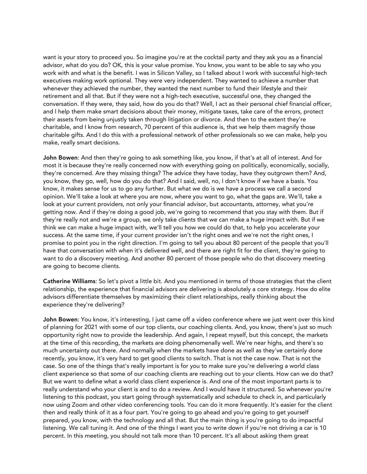want is your story to proceed you. So imagine you're at the cocktail party and they ask you as a financial advisor, what do you do? OK, this is your value promise. You know, you want to be able to say who you work with and what is the benefit. I was in Silicon Valley, so I talked about I work with successful high-tech executives making work optional. They were very independent. They wanted to achieve a number that whenever they achieved the number, they wanted the next number to fund their lifestyle and their retirement and all that. But if they were not a high-tech executive, successful one, they changed the conversation. If they were, they said, how do you do that? Well, I act as their personal chief financial officer, and I help them make smart decisions about their money, mitigate taxes, take care of the errors, protect their assets from being unjustly taken through litigation or divorce. And then to the extent they're charitable, and I know from research, 70 percent of this audience is, that we help them magnify those charitable gifts. And I do this with a professional network of other professionals so we can make, help you make, really smart decisions.

John Bowen: And then they're going to ask something like, you know, if that's at all of interest. And for most it is because they're really concerned now with everything going on politically, economically, socially, they're concerned. Are they missing things? The advice they have today, have they outgrown them? And, you know, they go, well, how do you do that? And I said, well, no, I don't know if we have a basis. You know, it makes sense for us to go any further. But what we do is we have a process we call a second opinion. We'll take a look at where you are now, where you want to go, what the gaps are. We'll, take a look at your current providers, not only your financial advisor, but accountants, attorney, what you're getting now. And if they're doing a good job, we're going to recommend that you stay with them. But if they're really not and we're a group, we only take clients that we can make a huge impact with. But if we think we can make a huge impact with, we'll tell you how we could do that, to help you accelerate your success. At the same time, if your current provider isn't the right ones and we're not the right ones, I promise to point you in the right direction. I'm going to tell you about 80 percent of the people that you'll have that conversation with when it's delivered well, and there are right fit for the client, they're going to want to do a discovery meeting. And another 80 percent of those people who do that discovery meeting are going to become clients.

Catherine Williams: So let's pivot a little bit. And you mentioned in terms of those strategies that the client relationship, the experience that financial advisors are delivering is absolutely a core strategy. How do elite advisors differentiate themselves by maximizing their client relationships, really thinking about the experience they're delivering?

John Bowen: You know, it's interesting, I just came off a video conference where we just went over this kind of planning for 2021 with some of our top clients, our coaching clients. And, you know, there's just so much opportunity right now to provide the leadership. And again, I repeat myself, but this concept, the markets at the time of this recording, the markets are doing phenomenally well. We're near highs, and there's so much uncertainty out there. And normally when the markets have done as well as they've certainly done recently, you know, it's very hard to get good clients to switch. That is not the case now. That is not the case. So one of the things that's really important is for you to make sure you're delivering a world class client experience so that some of our coaching clients are reaching out to your clients. How can we do that? But we want to define what a world class client experience is. And one of the most important parts is to really understand who your client is and to do a review. And I would have it structured. So whenever you're listening to this podcast, you start going through systematically and schedule to check in, and particularly now using Zoom and other video conferencing tools. You can do it more frequently. It's easier for the client then and really think of it as a four part. You're going to go ahead and you're going to get yourself prepared, you know, with the technology and all that. But the main thing is you're going to do impactful listening. We call tuning it. And one of the things I want you to write down if you're not driving a car is 10 percent. In this meeting, you should not talk more than 10 percent. It's all about asking them great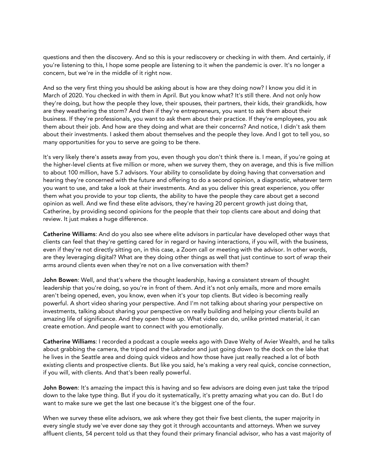questions and then the discovery. And so this is your rediscovery or checking in with them. And certainly, if you're listening to this, I hope some people are listening to it when the pandemic is over. It's no longer a concern, but we're in the middle of it right now.

And so the very first thing you should be asking about is how are they doing now? I know you did it in March of 2020. You checked in with them in April. But you know what? It's still there. And not only how they're doing, but how the people they love, their spouses, their partners, their kids, their grandkids, how are they weathering the storm? And then if they're entrepreneurs, you want to ask them about their business. If they're professionals, you want to ask them about their practice. If they're employees, you ask them about their job. And how are they doing and what are their concerns? And notice, I didn't ask them about their investments. I asked them about themselves and the people they love. And I got to tell you, so many opportunities for you to serve are going to be there.

It's very likely there's assets away from you, even though you don't think there is. I mean, if you're going at the higher-level clients at five million or more, when we survey them, they on average, and this is five million to about 100 million, have 5.7 advisors. Your ability to consolidate by doing having that conversation and hearing they're concerned with the future and offering to do a second opinion, a diagnostic, whatever term you want to use, and take a look at their investments. And as you deliver this great experience, you offer them what you provide to your top clients, the ability to have the people they care about get a second opinion as well. And we find these elite advisors, they're having 20 percent growth just doing that, Catherine, by providing second opinions for the people that their top clients care about and doing that review. It just makes a huge difference.

Catherine Williams: And do you also see where elite advisors in particular have developed other ways that clients can feel that they're getting cared for in regard or having interactions, if you will, with the business, even if they're not directly sitting on, in this case, a Zoom call or meeting with the advisor. In other words, are they leveraging digital? What are they doing other things as well that just continue to sort of wrap their arms around clients even when they're not on a live conversation with them?

John Bowen: Well, and that's where the thought leadership, having a consistent stream of thought leadership that you're doing, so you're in front of them. And it's not only emails, more and more emails aren't being opened, even, you know, even when it's your top clients. But video is becoming really powerful. A short video sharing your perspective. And I'm not talking about sharing your perspective on investments, talking about sharing your perspective on really building and helping your clients build an amazing life of significance. And they open those up. What video can do, unlike printed material, it can create emotion. And people want to connect with you emotionally.

Catherine Williams: I recorded a podcast a couple weeks ago with Dave Welty of Avier Wealth, and he talks about grabbing the camera, the tripod and the Labrador and just going down to the dock on the lake that he lives in the Seattle area and doing quick videos and how those have just really reached a lot of both existing clients and prospective clients. But like you said, he's making a very real quick, concise connection, if you will, with clients. And that's been really powerful.

John Bowen: It's amazing the impact this is having and so few advisors are doing even just take the tripod down to the lake type thing. But if you do it systematically, it's pretty amazing what you can do. But I do want to make sure we get the last one because it's the biggest one of the four.

When we survey these elite advisors, we ask where they got their five best clients, the super majority in every single study we've ever done say they got it through accountants and attorneys. When we survey affluent clients, 54 percent told us that they found their primary financial advisor, who has a vast majority of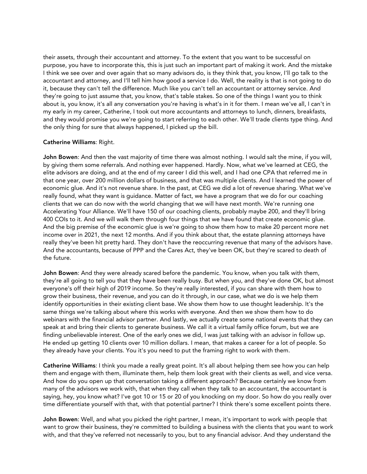their assets, through their accountant and attorney. To the extent that you want to be successful on purpose, you have to incorporate this, this is just such an important part of making it work. And the mistake I think we see over and over again that so many advisors do, is they think that, you know, I'll go talk to the accountant and attorney, and I'll tell him how good a service I do. Well, the reality is that is not going to do it, because they can't tell the difference. Much like you can't tell an accountant or attorney service. And they're going to just assume that, you know, that's table stakes. So one of the things I want you to think about is, you know, it's all any conversation you're having is what's in it for them. I mean we've all, I can't in my early in my career, Catherine, I took out more accountants and attorneys to lunch, dinners, breakfasts, and they would promise you we're going to start referring to each other. We'll trade clients type thing. And the only thing for sure that always happened, I picked up the bill.

## Catherine Williams: Right.

John Bowen: And then the vast majority of time there was almost nothing. I would salt the mine, if you will, by giving them some referrals. And nothing ever happened. Hardly. Now, what we've learned at CEG, the elite advisors are doing, and at the end of my career I did this well, and I had one CPA that referred me in that one year, over 200 million dollars of business, and that was multiple clients. And I learned the power of economic glue. And it's not revenue share. In the past, at CEG we did a lot of revenue sharing. What we've really found, what they want is guidance. Matter of fact, we have a program that we do for our coaching clients that we can do now with the world changing that we will have next month. We're running one Accelerating Your Alliance. We'll have 150 of our coaching clients, probably maybe 200, and they'll bring 400 COIs to it. And we will walk them through four things that we have found that create economic glue. And the big premise of the economic glue is we're going to show them how to make 20 percent more net income over in 2021, the next 12 months. And if you think about that, the estate planning attorneys have really they've been hit pretty hard. They don't have the reoccurring revenue that many of the advisors have. And the accountants, because of PPP and the Cares Act, they've been OK, but they're scared to death of the future.

John Bowen: And they were already scared before the pandemic. You know, when you talk with them, they're all going to tell you that they have been really busy. But when you, and they've done OK, but almost everyone's off their high of 2019 income. So they're really interested, if you can share with them how to grow their business, their revenue, and you can do it through, in our case, what we do is we help them identify opportunities in their existing client base. We show them how to use thought leadership. It's the same things we're talking about where this works with everyone. And then we show them how to do webinars with the financial advisor partner. And lastly, we actually create some national events that they can speak at and bring their clients to generate business. We call it a virtual family office forum, but we are finding unbelievable interest. One of the early ones we did, I was just talking with an advisor in follow up. He ended up getting 10 clients over 10 million dollars. I mean, that makes a career for a lot of people. So they already have your clients. You it's you need to put the framing right to work with them.

Catherine Williams: I think you made a really great point. It's all about helping them see how you can help them and engage with them, illuminate them, help them look great with their clients as well, and vice versa. And how do you open up that conversation taking a different approach? Because certainly we know from many of the advisors we work with, that when they call when they talk to an accountant, the accountant is saying, hey, you know what? I've got 10 or 15 or 20 of you knocking on my door. So how do you really over time differentiate yourself with that, with that potential partner? I think there's some excellent points there.

John Bowen: Well, and what you picked the right partner, I mean, it's important to work with people that want to grow their business, they're committed to building a business with the clients that you want to work with, and that they've referred not necessarily to you, but to any financial advisor. And they understand the